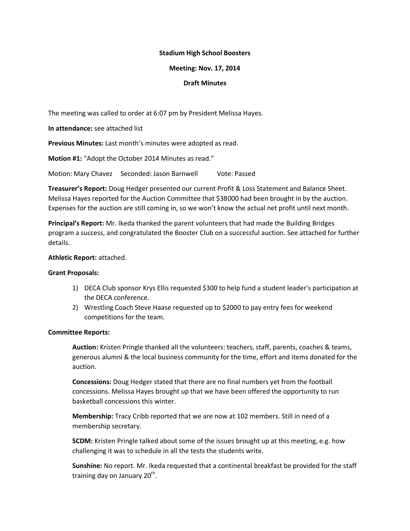## **Stadium High School Boosters**

## **Meeting: Nov. 17, 2014**

# **Draft Minutes**

The meeting was called to order at 6:07 pm by President Melissa Hayes.

**In attendance:** see attached list

**Previous Minutes:** Last month's minutes were adopted as read.

**Motion #1:** "Adopt the October 2014 Minutes as read."

Motion: Mary Chavez Seconded: Jason Barnwell Vote: Passed

**Treasurer's Report:** Doug Hedger presented our current Profit & Loss Statement and Balance Sheet. Melissa Hayes reported for the Auction Committee that \$38000 had been brought in by the auction. Expenses for the auction are still coming in, so we won't know the actual net profit until next month.

**Principal's Report:** Mr. Ikeda thanked the parent volunteers that had made the Building Bridges program a success, and congratulated the Booster Club on a successful auction. See attached for further details.

## **Athletic Report:** attached.

#### **Grant Proposals:**

- 1) DECA Club sponsor Krys Ellis requested \$300 to help fund a student leader's participation at the DECA conference.
- 2) Wrestling Coach Steve Haase requested up to \$2000 to pay entry fees for weekend competitions for the team.

#### **Committee Reports:**

**Auction:** Kristen Pringle thanked all the volunteers: teachers, staff, parents, coaches & teams, generous alumni & the local business community for the time, effort and items donated for the auction.

**Concessions:** Doug Hedger stated that there are no final numbers yet from the football concessions. Melissa Hayes brought up that we have been offered the opportunity to run basketball concessions this winter.

**Membership:** Tracy Cribb reported that we are now at 102 members. Still in need of a membership secretary.

**SCDM:** Kristen Pringle talked about some of the issues brought up at this meeting, e.g. how challenging it was to schedule in all the tests the students write.

**Sunshine:** No report. Mr. Ikeda requested that a continental breakfast be provided for the staff training day on January 20<sup>th</sup>.